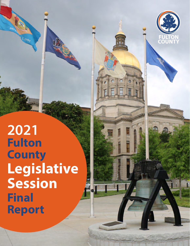



**2021 Fulton County Legislative Session Final Report**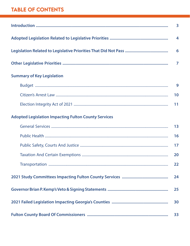## **TABLE OF CONTENTS**

| <b>Summary of Key Legislation</b>                           |    |  |  |  |
|-------------------------------------------------------------|----|--|--|--|
|                                                             | 9  |  |  |  |
|                                                             | 10 |  |  |  |
|                                                             | 11 |  |  |  |
| <b>Adopted Legislation Impacting Fulton County Services</b> |    |  |  |  |
|                                                             | 13 |  |  |  |
|                                                             | 16 |  |  |  |
|                                                             | 17 |  |  |  |
|                                                             | 20 |  |  |  |
|                                                             | 22 |  |  |  |
|                                                             |    |  |  |  |
|                                                             |    |  |  |  |
|                                                             |    |  |  |  |
| 33                                                          |    |  |  |  |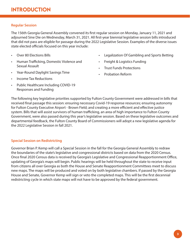## <span id="page-2-0"></span>**Regular Session**

The 156th Georgia General Assembly convened its first regular session on Monday, January 11, 2021 and adjourned Sine Die on Wednesday, March 31, 2021. All first-year biennial legislative session bills introduced that did not pass are eligible for passage during the 2022 Legislative Session. Examples of the diverse issues state elected officials focused on this year include:

- Over 80 Elections Bills
- Human Trafficking, Domestic Violence and Sexual Assault
- Year-Round Daylight Savings Time
- Income Tax Reductions
- Public Healthcare Including COVID-19 Responses and Funding
- Legalization Of Gambling and Sports Betting
- Freight & Logistics Funding
- Trust Funds Protections
- Probation Reform

The following key legislative priorities supported by Fulton County Government were addressed in bills that received final passage this session: ensuring necessary Covid-19 response resources; ensuring autonomy for Fulton County Executive Airport - Brown Field; and creating a more efficient and effective justice system. Bills that will assist survivors of human trafficking, an area of high importance to Fulton County Government, were also passed during this year's legislative session. Based on these legislative outcomes and departmental feedback, the Fulton County Board of Commissioners will adopt a new legislative agenda for the 2022 Legislative Session in fall 2021.

## **Special Session on Redistricting**

Governor Brian P. Kemp will call a Special Session in the fall for the Georgia General Assembly to redraw the boundaries of the state's legislative and congressional districts based on data from the 2020 Census. Once final 2020 Census data is received by Georgia's Legislative and Congressional Reapportionment Office, updating of Georgia's maps will begin. Public hearings will be held throughout the state to receive input from citizens all over Georgia as both the House and Senate Reapportionment Committees meet to discuss new maps. The maps will be produced and voted on by both legislative chambers. If passed by the Georgia House and Senate, Governor Kemp will sign or veto the completed maps. This will be the first decennial redistricting cycle in which state maps will not have to be approved by the federal government.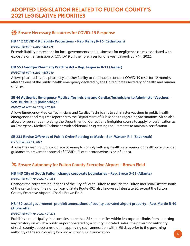## <span id="page-3-0"></span>**Ext.** Ensure Necessary Resources for COVID-19 Response

## **[HB 112 COVID-19 Liability Protections – Rep. Kelley R-16 \(Cedartown\)](https://www.legis.ga.gov/legislation/58959)**

## *EFFECTIVE: MAY 4, 2021; ACT 175*

Extends liability protections for local governments and businesses for negligence claims associated with exposure or transmission of COVID-19 on their premises for one year through July 14, 2022.

## **[HB 653 Georgia Pharmacy Practice Act – Rep. Jasperse R-11 \(Jasper\)](https://www.legis.ga.gov/legislation/60121)**

## *EFFECTIVE: MAY 6, 2021; ACT 240*

Allows pharmacists at a pharmacy or other facility to continue to conduct COVID-19 tests for 12 months after the end of the public health emergency declared by the United States secretary of health and human services.

## **[SB 46 Authorize Emergency Medical Technicians and Cardiac Technicians to Administer Vaccines –](https://www.legis.ga.gov/legislation/59079)  Sen. Burke R-11 (Bainbridge)**

## *EFFECTIVE: MAY 10, 2021; ACT 292*

Allows Emergency Medical Technicians and Cardiac Technicians to administer vaccines in public health emergencies and requires reporting to the Department of Public health regarding vaccinations. SB 46 also allows for persons completing the Department of Corrections firefighter course to apply for certification as an Emergency Medical Technician with additional drug testing requirements to maintain certification.

## **[SB 235 Revise Offenses of Public Order Relating to Mask – Sen. Watson R-1 \(Savannah\)](https://www.legis.ga.gov/legislation/59966)**

#### *EFFECTIVE: JULY 1, 2021*

Allows the wearing of mask or face covering to comply with any health care agency or health care provider guidance to prevent the spread of COVID-19, other coronaviruses or influenza.

## **K** Ensure Autonomy for Fulton County Executive Airport – Brown Field

## **[HB 445 City of South Fulton; change corporate boundaries – Rep. Bruce D-61 \(Atlanta\)](https://www.legis.ga.gov/legislation/59640)**

## *EFFECTIVE: MAY 10, 2021; ACT 265*

Changes the corporate boundaries of the City of South Fulton to include the Fulton Industrial District south of the centerline of the right of way of State Route 402, also known as Interstate 20, except the Fulton County Executive Airport - Charlie Brown Field.

## **[HB 459 Local government; prohibit annexations of county operated airport property – Rep. Martin R-49](https://www.legis.ga.gov/legislation/59681)  (Alpharetta)**

## *EFFECTIVE: MAY 10, 2021; ACT 276*

Prohibits a municipality that contains more than 85 square miles within its corporate limits from annexing any territory on which a public airport operated by a county is located unless the governing authority of such county adopts a resolution approving such annexation within 90 days prior to the governing authority of the municipality holding a vote on such annexation. **4**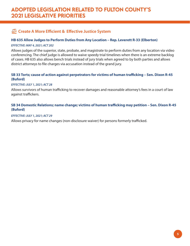## **Create A More Efficient & Effective Justice System**

## **[HB 635 Allow Judges to Perform Duties from Any Location – Rep. Leverett R-33 \(Elberton\)](https://www.legis.ga.gov/legislation/60047)**

## *EFFECTIVE: MAY 4, 2021; ACT 202*

Allows judges of the superior, state, probate, and magistrate to perform duties from any location via video conferencing. The chief judge is allowed to waive speedy trial timelines when there is an extreme backlog of cases. HB 635 also allows bench trials instead of jury trials when agreed to by both parties and allows district attorneys to file charges via accusation instead of the grand jury.

## **[SB 33 Torts; cause of action against perpetrators for victims of human trafficking – Sen. Dixon R-45](https://www.legis.ga.gov/legislation/59057)  (Buford)**

## *EFFECTIVE: JULY 1, 2021; ACT 28*

Allows survivors of human trafficking to recover damages and reasonable attorney's fees in a court of law against traffickers.

## **[SB 34 Domestic Relations; name change; victims of human trafficking may petition – Sen. Dixon R-45](https://www.legis.ga.gov/legislation/59058)  (Buford)**

## *EFFECTIVE: JULY 1, 2021; ACT 29*

Allows privacy for name changes (non-disclosure waiver) for persons formerly trafficked.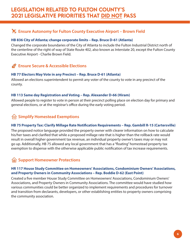## <span id="page-5-0"></span>**K** Ensure Autonomy for Fulton County Executive Airport – Brown Field

## **[HB 836 City of Atlanta; change corporate limits – Rep. Bruce D-61 \(Atlanta\)](https://www.legis.ga.gov/legislation/60783)**

Changed the corporate boundaries of the City of Atlanta to include the Fulton Industrial District north of the centerline of the right of way of State Route 402, also known as Interstate 20, except the Fulton County Executive Airport - Charlie Brown Field.

#### **Ensure Secure & Accessible Elections**  $\rightarrow$

## **[HB 77 Electors May Vote in any Precinct – Rep. Bruce D-61 \(Atlanta\)](https://www.legis.ga.gov/legislation/58895)**

Allowed an elections superintendent to permit any voter of the county to vote in any precinct of the county.

## **[HB 113 Same day Registration and Voting – Rep. Alexander D-66 \(Hiram\)](https://www.legis.ga.gov/legislation/58960)**

Allowed people to register to vote in person at their precinct polling place on election day for primary and general elections, or at the registrar's office during the early voting period.

## **Simplify Homestead Exemptions**

## **[HB 75 Property Tax: Clarify Millage Rate Notification Requirements – Rep. Gambill R-15 \(Cartersville\)](https://www.legis.ga.gov/legislation/58893)**

The proposed notice language provided the property owner with clearer information on how to calculate his/her taxes and clarified that while a proposed millage rate that is higher than the rollback rate would result in overall higher government tax revenue, an individual property owner's taxes may or may not go up. Additionally, HB 75 allowed any local government that has a "floating" homestead property tax exemption to dispense with the otherwise applicable public notification of tax increase requirements.

## **Support Homeowner Protections**

## **[HR 117 House Study Committee on Homeowners' Associations, Condominium Owners' Associations,](https://www.legis.ga.gov/legislation/59431)  and Property Owners in Community Associations – Rep. Boddie D-62 (East Point)**

Created a five member House Study Committee on Homeowners' Associations, Condominium Owners' Associations, and Property Owners in Community Associations. The committee would have studied how various communities could be better organized to implement requirements and procedures for turnover and transition from declarants, developers, or other establishing entities to property owners comprising the community association.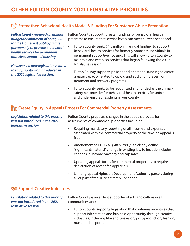## <span id="page-6-0"></span>**Strengthen Behavioral Health Model & Funding For Substance Abuse Prevention**

*Fulton County received an annual budgetary allotment of \$500,000 for the HomeFirst public-private partnership to provide behavioral health services for permanent homeless supported housing.* 

*However, no new legislation related to this priority was introduced in the 2021 legislative session.*

Fulton County supports greater funding for behavioral health programs to ensure that service levels can meet current needs and:

- Fulton County seeks \$1.5 million in annual funding to support behavioral health services for formerly homeless individuals in permanent supportive housing. This will allow Fulton County to maintain and establish services that began following the 2019 legislative session.
- Fulton County supports policies and additional funding to create greater capacity related to opioid and addiction prevention, treatment and recovery programs.
- Fulton County seeks to be recognized and funded as the primary safety net provider for behavioral health services for uninsured and under-insured residents in our county.

## **Ha Create Equity In Appeals Process For Commercial Property Assessments**

*Legislation related to this priority was not introduced in the 2021 legislative session.*

Fulton County proposes changes in the appeals process for assessments of commercial properties including:

- Requiring mandatory reporting of all income and expenses associated with the commercial property at the time an appeal is filed.
- Amendment to O.C.G.A. § 48-5-299 (c) to clearly define "significant/material" change in existing law to include includes changes in income, vacancy and cap rates.
- Updating appeals forms for commercial properties to require declaration of recent fee appraisals.
- Limiting appeal rights on Development Authority parcels during all or part of the 10-year "ramp up" period.

### **Support Creative Industries**

*Legislation related to this priority was not introduced in the 2021 legislative session.*

Fulton County is an ardent supporter of arts and culture in all communities and:

• Fulton County supports legislation that continues incentives that support job creation and business opportunity through creative industries, including film and television, post-production, fashion, music and e-sports.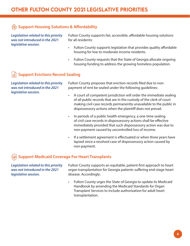## **Support Housing Solutions & Affordability**

*Legislation related to this priority was not introduced in the 2021 legislative session.*

Fulton County supports fair, accessible, affordable housing solutions for all residents:

- Fulton County supports legislation that provides quality affordable housing for low to moderate income residents.
- Fulton County requests that the State of Georgia allocate ongoing housing funding to address the growing homeless population.

## **Support Evictions Record Sealing**

*Legislation related to this priority was not introduced in the 2021 legislative session.*

Fulton County proposes that eviction records filed due to nonpayment of rent be sealed under the following guidelines:

- A court of competent jurisdiction will order the immediate sealing of all public records that are in the custody of the clerk of court making civil case records permanently unavailable to the public in dispossessory actions when the plaintiff does not prevail.
- In periods of a public health emergency, a one-time sealing of civil case records in dispossessory actions shall be effective immediately provided that such dispossessory action was due to non-payment caused by uncontrolled loss of income.
- If a settlement agreement is effectuated or when three years have lapsed since a resolved case of dispossessory action caused by non-payment.

## **Support Medicaid Coverage For Heart Transplants**

*Legislation related to this priority was not introduced in the 2021 legislative session.*

Fulton County supports an equitable, patient-first approach to heart organ transplantation for Georgia patients suffering end-stage heart disease. Accordingly:

• Fulton County urges the State of Georgia to update its Medicaid Handbook by amending the Medicaid Standards for Organ Transplant Services to include authorization for adult heart transplantation.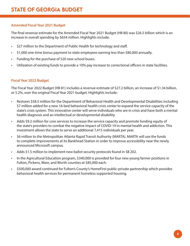## <span id="page-8-0"></span>**Amended Fiscal Year 2021 Budget**

The final revenue estimate for the [Amended Fiscal Year 2021 Budget \(HB 80\) w](https://www.legis.ga.gov/legislation/58910)as \$26.5 billion which is an increase in overall spending by \$654 million. Highlights include:

- \$27 million to the Department of Public Health for technology and staff.
- \$1,000 one-time bonus payment to state employees earning less than \$80,000 annually.
- Funding for the purchase of 520 new school buses.
- Utilization of existing funds to provide a 10% pay increase to correctional officers in state facilities.

## **Fiscal Year 2022 Budget**

[The Fiscal Year 2022 Budget \(HB 81\) in](https://www.legis.ga.gov/legislation/58911)cludes a revenue estimate of \$27.2 billion, an increase of \$1.34 billion, or 5.2%, over the original Fiscal Year 2021 budget. Highlights include:

- Restores \$58.5 million for the Department of Behavioral Health and Developmental Disabilities including \$7 million added for a new 16-bed behavioral health crisis center to expand the service capacity of the state's crisis system. This innovative center will serve individuals who are in crisis and have both a mental health diagnosis and an intellectual or developmental disability.
- Adds \$9.2 million for core services to increase the service capacity and promote funding equity of the state's providers to combat the negative impact of COVID-19 in mental health and addiction. This investment allows the state to serve an additional 7,415 individuals per year.
- \$6 million to the Metropolitan Atlanta Rapid Transit Authority (MARTA). MARTA will use the funds to complete improvements at its Bankhead Station in order to improve accessibility near the newly announced Microsoft campus.
- Adds \$1.5 million to implement new ballot security protocols found in [SB 202.](https://www.legis.ga.gov/legislation/59827)
- In the Agricultural Education program, \$340,000 is provided for four new young farmer positions in Fulton, Pickens, Ware, and Worth counties at \$85,000 each.
- \$500,000 award continued for Fulton's County's HomeFirst public-private partnership which provides behavioral health services for permanent homeless supported housing.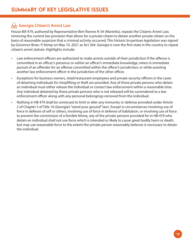## <span id="page-9-0"></span>**Georgia Citizen's Arrest Law**

[House Bill 479, a](https://www.legis.ga.gov/legislation/59726)uthored by Representative Bert Reeves R-34 (Marietta), repeals the Citizens Arrest Law, removing the current law provision that allows for a private citizen to detain another private citizen on the basis of reasonable suspicion that a criminal activity occurred. This historic bi-partisan legislation was signed by Governor Brian. P. Kemp on May 10, 2021 as Act 264. Georgia is now the first state in the country to repeal citizen's arrest statute. Highlights include:

- Law enforcement officers are authorized to make arrests outside of their jurisdiction if the offense is committed in an officer's presence or within an officer's immediate knowledge; when in immediate pursuit of an offender for an offense committed within the officer's jurisdiction; or while assisting another law enforcement officer in the jurisdiction of the other officer.
- Exceptions for business owners, retail/restaurant employees and private security officers in the cases of detaining individuals for shoplifting or theft are provided. Any of these private persons who detain an individual must either release the individual or contact law enforcement within a reasonable time. Any individual detained by these private persons who is not released will be surrendered to a law enforcement officer along with any personal belongings removed from the individual.
- Nothing in HB 479 shall be construed to limit or alter any immunity or defense provided under Article 2 of Chapter 3 of Title 16 (Georgia's "stand your ground" law). Except in circumstances involving use of force in defense of self or others, involving use of force in defense of habitation, or involving use of force to prevent the commission of a forcible felony, any of the private persons provided for in HB 479 who detain an individual shall not use force which is intended or likely to cause great bodily harm or death, but may use reasonable force to the extent the private person reasonably believes is necessary to detain the individual.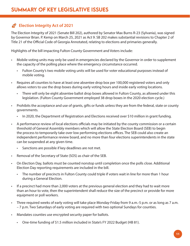## <span id="page-10-0"></span>**Election Integrity Act of 2021**

[The Election Integrity of 2021 \(Senate Bill 202\),](https://www.legis.ga.gov/legislation/59827) authored by Senator Max Burns R-23 (Sylvania), was signed by Governor Brian. P. Kemp on March 25, 2021 as Act 9. SB 202 makes substantial revisions to Chapter 2 of Title 21 of the Official Code of Georgia Annotated, relating to elections and primaries generally.

Highlights of the bill impacting Fulton County Government and Voters include:

- Mobile voting units may only be used in emergencies declared by the Governor in order to supplement the capacity of the polling place where the emergency circumstance occurred.
	- Fulton County's two mobile voting units will be used for voter educational purposes instead of mobile voting.
- Requires all counties to have at least one absentee drop box per 100,000 registered voters and only allows voters to use the drop boxes during early voting hours and inside early voting locations.
	- There will only be eight absentee ballot drop boxes allowed in Fulton County, as allowed under this legislation. (Fulton County Government employed 38 drop boxes in the 2020 election cycle.)
- Prohibits the acceptance and use of grants, gifts or funds unless they are from the federal, state or county governments.
	- In 2020, the Department of Registration and Elections received over \$10 million in grant funding.
- A performance review of local elections officials may be initiated by the county commission or a certain threshold of General Assembly members which will allow the State Election Board (SEB) to begin the process to temporarily take over low performing elections offices. The SEB could also create an independent performance review board, and no more than four elections superintendents in the state can be suspended at any given time.
	- Sanctions are possible if key deadlines are not met.
- Removal of the Secretary of State (SOS) as chair of the SEB.
- On Election Day, ballots must be counted nonstop until completion once the polls close. Additional Election Day reporting requirements are included in the bill.
	- The number of precincts in Fulton County could triple if voters wait in line for more than 1 hour during a General Election.
- If a precinct had more than 2,000 voters at the previous general election and they had to wait more than an hour to vote, then the superintendent shall reduce the size of the precinct or provide for more equipment or poll workers.
- Three required weeks of early voting will take place Monday-Friday from 9 a.m.-5 p.m. or as long as 7 a.m. – 7 p.m. Two Saturdays of early voting are required with two optional Sundays for counties.
- Mandates counties use encrypted security paper for ballots.
	- One-time funding of \$1.5 million included in State's [FY 2022 Budget \(HB 81\).](https://www.legis.ga.gov/legislation/58911)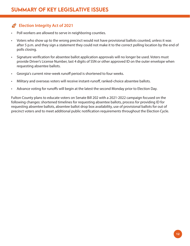## **Election Integrity Act of 2021**

- Poll workers are allowed to serve in neighboring counties.
- Voters who show up to the wrong precinct would not have provisional ballots counted, unless it was after 5 p.m. and they sign a statement they could not make it to the correct polling location by the end of polls closing.
- Signature verification for absentee ballot application approvals will no longer be used. Voters must provide Driver's License Number, last 4 digits of SSN or other approved ID on the outer envelope when requesting absentee ballots.
- Georgia's current nine-week runoff period is shortened to four weeks.
- Military and overseas voters will receive instant-runoff, ranked-choice absentee ballots.
- Advance voting for runoffs will begin at the latest the second Monday prior to Election Day.

Fulton County plans to educate voters on Senate Bill 202 with a 2021-2022 campaign focused on the following changes: shortened timelines for requesting absentee ballots, process for providing ID for requesting absentee ballots, absentee ballot drop box availability, use of provisional ballots for out of precinct voters and to meet additional public notification requirements throughout the Election Cycle.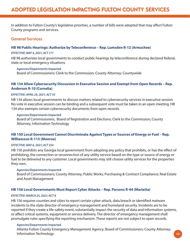<span id="page-12-0"></span>In addition to Fulton County's legislative priorities, a number of bills were adopted that may affect Fulton County programs and services.

## **General Services**

#### **[HB 98 Public Hearings: Authorize by Teleconference – Rep. Lumsden R-12 \(Armuchee\)](https://www.legis.ga.gov/legislation/58937)**

#### *EFFECTIVE: MAY 4, 2021; ACT 171*

HB 98 authorizes local governments to conduct public hearings by teleconference during declared federal, state or local emergency situations.

#### **Agencies/Departments Impacted**

Board of Commissioners; Clerk to the Commission; County Attorney; Countywide

## **[HB 134 Allow Cybersecurity Discussion in Executive Session and Exempt from Open Records – Rep.](https://www.legis.ga.gov/legislation/59005)  Anderson R-10 (Cornelia)**

#### *EFFECTIVE: APRIL 29, 2021; ACT 35*

HB 134 allows local governments to discuss matters related to cybersecurity services in executive session. No vote in executive session can be binding and a subsequent vote must be taken in an open meeting. HB 134 also exempts certain cybersecurity documents from open records.

#### **Agencies/Departments Impacted**

Board of Commissioners; Board of Registration and Elections; Clerk to the Commission; County Attorney; Information Technology

## **[HB 150 Local Government Cannot Discriminate Against Types or Sources of Energy or Fuel – Rep.](https://www.legis.ga.gov/legislation/59025)  Williamson R-115 (Monroe)**

#### *EFFECTIVE: MAY 6, 2021; ACT 254*

HB 150 prohibits any Georgia local government from adopting any policy that prohibits, or has the effect of prohibiting, the connection or reconnection of any utility service based on the type or source of energy or fuel to be delivered to any customer. Local governments may still choose utility services for the properties they own.

#### **Agencies/Departments Impacted**

Board of Commissioners; County Attorney; Public Works; Purchasing & Contract Compliance; Real Estate and Asset Management

#### **[HB 156 Local Governments Must Report Cyber Attacks – Rep. Parsons R-44 \(Marietta\)](https://www.legis.ga.gov/legislation/59069)**

#### *EFFECTIVE: MARCH 25, 2021; ACT 8*

HB 156 requires counties and cities to report certain cyber-attack, data breach or identified malware incidents to the state director of emergency management and homeland security. Incidents are to be reported if they create a life-safety event, substantially impact the security of data and information systems, or affect critical systems, equipment or service delivery. The director of emergency management shall promulgate rules specifying the reporting mechanism. These reports are not subject to open records.

#### **Agencies/Departments Impacted**

Atlanta-Fulton County Emergency Management Agency; Board of Commissioners; County Attorney; Information Technology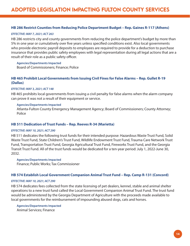## **[HB 286 Restrict Counties from Reducing Police Department Budget – Rep. Gaines R-117 \(Athens\)](https://www.legis.ga.gov/legislation/59296)**

#### *EFFECTIVE: MAY 7, 2021; ACT 263*

HB 286 restricts city and county governments from reducing the police department's budget by more than 5% in one year or cumulatively over five years unless specified conditions exist. Also local governments who provide electronic payroll deposits to employees are required to provide for a deduction to purchase insurance that provides public safety employees with legal representation during all legal actions that are a result of their role as a public safety officer.

**Agencies/Departments Impacted** Board of Commissioners; Finance; Police

## **[HB 465 Prohibit Local Governments from Issuing Civil Fines for False Alarms – Rep. Gullet R-19](https://www.legis.ga.gov/legislation/59701)  (Dallas)**

#### *EFFECTIVE: MAY 3, 2021; ACT 148*

HB 465 prohibits local governments from issuing a civil penalty for false alarms when the alarm company can prove it was not a result of their equipment or service.

#### **Agencies/Departments Impacted**

Atlanta-Fulton County Emergency Management Agency; Board of Commissioners; County Attorney; Police

#### **[HB 511 Dedication of Trust Funds – Rep. Reeves R-34 \(Marietta\)](https://www.legis.ga.gov/legislation/59805)**

#### *EFFECTIVE: MAY 10, 2021; ACT 290*

HB 511 dedicates the following trust funds for their intended purpose: Hazardous Waste Trust Fund, Solid Waste Trust Fund, State Children's Trust Fund, Wildlife Endowment Trust Fund, Trauma Care Network Trust Fund, Transportation Trust Fund, Georgia Agricultural Trust Fund, Fireworks Trust Fund, and the Georgia Transit Trust Fund. All of the trust funds would be dedicated for a ten-year period: July 1, 2022-June 30, 2032.

**Agencies/Departments Impacted**

Finance; Public Works; Tax Commissioner

#### **[HB 574 Establish Local Government Companion Animal Trust Fund – Rep. Camp R-131 \(Concord\)](https://www.legis.ga.gov/legislation/59922)**

#### *EFFECTIVE: MAY 10, 2021; ACT 290*

HB 574 dedicates fees collected from the state licensing of pet dealers, kennel, stable and animal shelter operations to a new trust fund called the Local Government Companion Animal Trust Fund. The trust fund would be administered by the Georgia Department of Agriculture with the proceeds made available to local governments for the reimbursement of impounding abused dogs, cats and horses.

**Agencies/Departments Impacted** Animal Services; Finance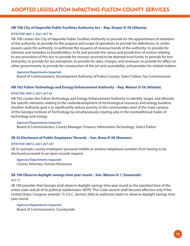### **[HB 708 City of Hapeville Public Facilities Authority Act – Rep. Dreyer D-59 \(Atlanta\)](https://www.legis.ga.gov/legislation/60245)**

#### *EFFECTIVE: MAY 3, 2021; ACT 76*

HB 708 creates the City of Hapeville Public Facilities Authority to provide for the appointment of members of the authority; to provide for the purpose and scope of operation; to provide for definitions; to confer powers upon the authority; to authorize the issuance of revenue bonds of the authority; to provide for interests and remedies to bondholders; to fix and provide the venue and jurisdiction of actions relating to any provisions of this Act; to provide for moneys received to be deemed trust funds; to provide for tort immunity; to provide for tax exemption; to provide for rates, charges, and revenues; to provide for effect on other governments; to provide for construction of the act and severability; and provides for related matters.

**Agencies/Departments Impacted**

Board of Commissioners; Development Authority of Fulton County; Select Fulton; Tax Commissioner

#### **[HB 762 Fulton Technology and Energy Enhancement Authority – Rep. Mainor D-56 \(Atlanta\)](https://www.legis.ga.gov/legislation/60499)**

#### *EFFECTIVE: MAY 3, 2021; ACT 45*

HB 762 creates the Fulton Technology and Energy Enhancement Authority to identify, target, and alleviate the specific elements relating to the underdevelopment of technological resources and energy burdens. Another Authority goal is to significantly reduce poverty in the communities west of the main campus of the Georgia Institute of Technology by simultaneously creating jobs in the nontraditional trades of technology and energy.

#### **Agencies/Departments Impacted**

Board of Commissioners; County Manager; Finance; Information Technology; Select Fulton

#### **[SB 32 Disclosure of Public Employees' Records – Sen. Brass R-38 \(Newnan\)](https://www.legis.ga.gov/legislation/59032)**

#### *EFFECTIVE: MAY 6, 2021; ACT 247*

SB 32 exempts county employees' personal mobile or wireless telephone numbers from having to be disclosed pursuant to an open records request.

#### **Agencies/Departments Impacted**

County Attorney; Human Resources

#### **[SB 100 Observe daylight savings time year round – Sen. Watson R-1 \(Savannah\)](https://www.legis.ga.gov/legislation/59365)**

#### *ACT 17*

SB 100 provides that Georgia shall observe daylight savings time year round as the standard time of the entire state and all of its political subdivisions. NOTE: This Code section shall become effective only if the United States Congress amends 15 U.S.C. Section 260a to authorize states to observe daylight savings time year round.

**Agencies/Departments Impacted** Board of Commissioners; Countywide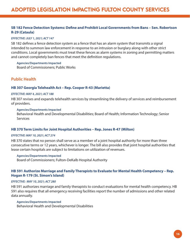## <span id="page-15-0"></span>ADOPTED LEGISLATION IMPACTING FULTON COUNTY SERVICES

## **[SB 182 Fence Detection Systems: Define and Prohibit Local Governments from Bans – Sen. Robertson](https://www.legis.ga.gov/legislation/59694)  R-29 (Cataula)**

#### *EFFECTIVE: JULY 1, 2021; ACT 147*

SB 182 defines a fence detection system as a fence that has an alarm system that transmits a signal intended to summon law enforcement in response to an intrusion or burglary along with other strict conditions. Local governments must treat these fences as alarm systems in zoning and permitting matters and cannot completely ban fences that meet the definition regulations.

#### **Agencies/Departments Impacted**

Board of Commissioners; Public Works

## **Public Health**

#### **[HB 307 Georgia Telehealth Act – Rep. Cooper R-43 \(Marietta\)](https://www.legis.ga.gov/legislation/59349)**

#### *EFFECTIVE: MAY 4, 2021; ACT 188*

HB 307 revises and expands telehealth services by streamlining the delivery of services and reimbursement of providers.

#### **Agencies/Departments Impacted**

Behavioral Health and Developmental Disabilities; Board of Health; Information Technology; Senior **Services** 

#### **[HB 370 Term Limits for Joint Hospital Authorities – Rep. Jones R-47 \(Milton\)](https://www.legis.ga.gov/legislation/59503)**

#### *EFFECTIVE: MAY 10, 2021; ACT 274*

HB 370 states that no person shall serve as a member of a joint hospital authority for more than three consecutive terms or 12 years, whichever is longer. The bill also provides that joint hospital authorities that lease certain hospitals are subject to limitations on utilization of revenues.

#### **Agencies/Departments Impacted**

Board of Commissioners; Fulton-DeKalb Hospital Authority

#### **[HB 591 Authorize Marriage and Family Therapists to Evaluate for Mental Health Competency – Rep.](https://www.legis.ga.gov/legislation/59958)  Hogan R-179 (St. Simon's Island)**

#### *EFFECTIVE: MAY 10, 2021; ACT 280*

HB 591 authorizes marriage and family therapists to conduct evaluations for mental health competency. HB 591 also requires that all emergency receiving facilities report the number of admissions and other related data annually.

#### **Agencies/Departments Impacted**

Behavioral Health and Developmental Disabilities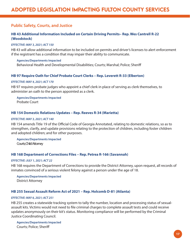## <span id="page-16-0"></span>**Public Safety, Courts, and Justice**

## **[HB 43 Additional Information Included on Certain Driving Permits– Rep. Wes Cantrell R-22](https://www.legis.ga.gov/legislation/58835)  (Woodstock)**

#### *EFFECTIVE: MAY 3, 2021; ACT 150*

HB 43 will allow additional information to be included on permits and driver's licenses to alert enforcement if the registrant has a condition that may impair their ability to communicate.

#### **Agencies/Departments Impacted**

Behavioral Health and Developmental Disabilities; Courts; Marshal; Police; Sheriff

#### **[HB 97 Require Oath for Chief Probate Court Clerks – Rep. Leverett R-33 \(Elberton\)](https://www.legis.ga.gov/legislation/58936)**

#### *EFFECTIVE: MAY 4, 2021; ACT 170*

HB 97 requires probate judges who appoint a chief clerk in place of serving as clerk themselves, to administer an oath to the person appointed as a clerk.

**Agencies/Departments Impacted** Probate Court

#### **[HB 154 Domestic Relations Updates – Rep. Reeves R-34 \(Marietta\)](https://www.legis.ga.gov/legislation/59029)**

#### *EFFECTIVE: MAY 3, 2021; ACT 140*

HB 154 amends Title 19 of the Official Code of Georgia Annotated, relating to domestic relations, so as to strengthen, clarify, and update provisions relating to the protection of children, including foster children and adopted children; and for other purposes.

**Agencies/Departments Impacted** Courts; Child Attorney

#### **[HB 168 Department of Corrections Files – Rep. Petrea R-166 \(Savannah\)](https://www.legis.ga.gov/legislation/59090)**

#### *EFFECTIVE: JULY 1, 2021; ACT 22*

HB 168 requires the Department of Corrections to provide the District Attorney, upon request, all records of inmates convinced of a serious violent felony against a person under the age of 18.

**Agencies/Departments Impacted** District Attorney

#### **[HB 255 Sexual Assault Reform Act of 2021 – Rep. Holcomb D-81 \(Atlanta\)](https://www.legis.ga.gov/legislation/59249)**

#### *EFFECTIVE: MAY 6, 2021; ACT 251*

HB 255 creates a statewide tracking system to tally the number, location and processing status of sexualassault kits. Victims would not need to file criminal charges to complete assault tests and could receive updates anonymously on their kit's status. Monitoring compliance will be performed by the Criminal Justice Coordinating Council.

**Agencies/Departments Impacted** Courts; Police; Sheriff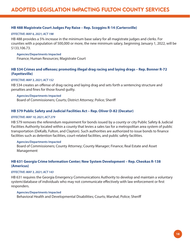## **[HB 488 Magistrate Court Judges Pay Raise – Rep. Scoggins R-14 \(Cartersville\)](https://www.legis.ga.gov/legislation/59762)**

#### *EFFECTIVE: MAY 6, 2021; ACT 198*

HB 488 provides a 5% increase in the minimum base salary for all magistrate judges and clerks. For counties with a population of 500,000 or more, the new minimum salary, beginning January 1, 2022, will be \$133,106.73.

#### **Agencies/Departments Impacted**

Finance; Human Resources; Magistrate Court

## **[HB 534 Crimes and offenses; promoting illegal drag racing and laying drags – Rep. Bonner R-72](https://www.legis.ga.gov/legislation/59834)  (Fayetteville)**

#### *EFFECTIVE: MAY 3, 2021; ACT 152*

HB 534 creates an offense of drag racing and laying drag and sets forth a sentencing structure and penalties and fines for those found guilty.

#### **Agencies/Departments Impacted**

Board of Commissioners; Courts; District Attorney; Police; Sheriff

## **[HB 579 Public Safety and Judicial Facilities Act – Rep. Oliver D-82 \(Decatur\)](https://www.legis.ga.gov/legislation/59927)**

#### *EFFECTIVE: MAY 10, 2021; ACT 279*

HB 579 removes the referendum requirement for bonds issued by a county or city Public Safety & Judicial Facilities Authority located within a county that levies a sales tax for a metropolitan area system of public transportation (DeKalb, Fulton, and Clayton). Such authorities are authorized to issue bonds to finance facilities such as detention facilities, court-related facilities, and public safety facilities.

#### **Agencies/Departments Impacted**

Board of Commissioners; County Attorney; County Manager; Finance; Real Estate and Asset Management

## **[HB 631 Georgia Crime Information Center; New System Development – Rep. Cheokas R-138](https://www.legis.ga.gov/legislation/60033)  (Americus)**

#### *EFFECTIVE: MAY 3, 2021; ACT 143*

HB 631 requires the Georgia Emergency Communications Authority to develop and maintain a voluntary system/database of individuals who may not communicate effectively with law enforcement or first responders.

#### **Agencies/Departments Impacted**

Behavioral Health and Developmental Disabilities; Courts; Marshal; Police; Sheriff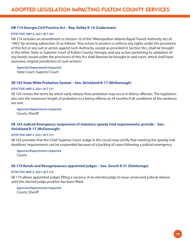### **[HB 714 Georgia Civil Practice Act – Rep. Kelley R-16 \(Cedartown\)](https://www.legis.ga.gov/legislation/60291)**

#### *EFFECTIVE: MAY 4, 2021; ACT 203*

HB 714 includes an amendment to Section 10 of the "Metropolitan Atlanta Rapid Transit Authority Act of 1965," by revising subsection (t) as follows: "Any action to protect or enforce any rights under the provisions of this Act or any suit or action against such Authority, except as provided in Section 9(c), shall be brought in the either State or Superior Court of Fulton County, Georgia, and any action pertaining to validation of any bonds issued under the provisions of this Act shall likewise be brought in said court, which shall have exclusive, original jurisdiction of such actions."

**Agencies/Departments Impacted** State Court; Superior Court

#### **[SB 105 State-Wide Probation System – Sen. Strickland R-17 \(McDonough\)](https://www.legis.ga.gov/legislation/59433)**

#### *EFFECTIVE: MAY 3, 2021; ACT 151*

SB 105 revises the terms by which early release from probation may occur in felony offenses. The legislation also sets the maximum length of probation in a felony offense at 24 months if all conditions of the sentence are met.

**Agencies/Departments Impacted** Courts; Sheriff

### **[SB 163 Judicial Emergency; suspension of statutory speedy trial requirements; provide – Sen.](https://www.legis.ga.gov/legislation/59630)  Strickland R-17 (McDonough)**

#### *EFFECTIVE: MAY 4, 2021; ACT 213*

SB 163 provides that the Chief Superior Court Judge in the circuit may certify that meeting the speedy trial deadlines' requirements can be suspended because of a backlog of cases following a judicial emergency.

**Agencies/Departments Impacted** Courts

#### **[SB 174 Bonds and Recognizances; appointed judges – Sen. Gooch R-51 \(Dahlonega\)](https://www.legis.ga.gov/legislation/59677)**

#### *EFFECTIVE: MAY 4, 2021; ACT 216*

SB 174 allows appointed judges filling a vacancy of an elected judge to issue unsecured judicial release until the elected judge position has been filled.

**Agencies/Departments Impacted** Courts; Sheriff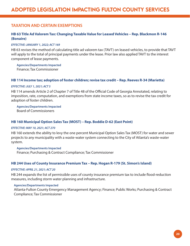## <span id="page-19-0"></span>**TAXATION AND CERTAIN EXEMPTIONS**

## **[HB 63 Title Ad Valorem Tax: Changing Taxable Value for Leased Vehicles – Rep. Blackmon R-146](https://www.legis.ga.gov/legislation/58876)  (Bonaire)**

#### *EFFECTIVE: JANUARY 1, 2022; ACT 169*

HB 63 revises the method of calculating title ad valorem tax (TAVT) on leased vehicles, to provide that TAVT will apply to the total of principal payments under the lease. Prior law also applied TAVT to the interest component of lease payments.

**Agencies/Departments Impacted** Finance; Tax Commissioner

#### **[HB 114 Income tax; adoption of foster children; revise tax credit – Rep. Reeves R-34 \(Marietta\)](https://www.legis.ga.gov/legislation/58961)**

#### *EFFECTIVE: JULY 1, 2021; ACT 5*

HB 114 amends Article 2 of Chapter 7 of Title 48 of the Official Code of Georgia Annotated, relating to imposition, rate, computation, and exemptions from state income taxes, so as to revise the tax credit for adoption of foster children.

**Agencies/Departments Impacted** Board of Commissioners

#### **[HB 160 Municipal Option Sales Tax \(MOST\) – Rep. Boddie D-62 \(East Point\)](https://www.legis.ga.gov/legislation/59073)**

#### *EFFECTIVE: MAY 10, 2021; ACT 270*

HB 160 extends the ability to levy the one percent Municipal Option Sales Tax (MOST) for water and sewer projects to any municipality with a waste-water system connecting to the City of Atlanta's waste-water system.

#### **Agencies/Departments Impacted**

Finance; Purchasing & Contract Compliance; Tax Commissioner

#### **[HB 244 Uses of County Insurance Premium Tax – Rep. Hogan R-179 \(St. Simon's Island\)](https://www.legis.ga.gov/legislation/59230)**

#### *EFFECTIVE: APRIL 21, 2021; ACT 20*

HB 244 expands the list of permissible uses of county insurance premium tax to include flood-reduction measures, including storm water planning and infrastructure.

#### **Agencies/Departments Impacted**

Atlanta-Fulton County Emergency Management Agency; Finance; Public Works; Purchasing & Contract Compliance; Tax Commissioner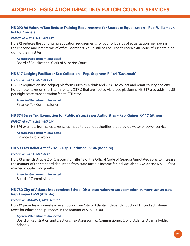## **[HB 292 Ad Valorem Tax: Reduce Training Requirements for Boards of Equalization – Rep. Williams Jr.](https://www.legis.ga.gov/legislation/59329)  R-148 (Cordele)**

#### *EFFECTIVE: MAY 4, 2021; ACT 187*

HB 292 reduces the continuing education requirements for county boards of equalization members in their second and later terms of office. Members would still be required to receive 40 hours of such training during their first term.

#### **Agencies/Departments Impacted**

Board of Equalization; Clerk of Superior Court

## **[HB 317 Lodging Facilitator Tax: Collection – Rep. Stephens R-164 \(Savannah\)](https://www.legis.ga.gov/legislation/59359)**

#### *EFFECTIVE: JULY 1, 2021; ACT 21*

HB 317 requires online lodging platforms such as Airbnb and VRBO to collect and remit county and city hotel/motel taxes on short-term rentals (STRs) that are hosted via those platforms. HB 317 also adds the \$5 per night state transportation fee to STR stays.

**Agencies/Departments Impacted** Finance; Tax Commissioner

#### **[HB 374 Sales Tax: Exemption for Public Water/Sewer Authorities – Rep. Gaines R-117 \(Athens\)](https://www.legis.ga.gov/legislation/59507)**

#### *EFFECTIVE: MAY 6, 2021; ACT 234*

HB 374 exempts from sales taxes sales made to public authorities that provide water or sewer service.

**Agencies/Departments Impacted** Finance; Public Works

#### **[HB 593 Tax Relief Act of 2021 – Rep. Blackmon R-146 \(Bonaire\)](https://www.legis.ga.gov/legislation/59953)**

#### *EFFECTIVE: JULY 1, 2021; ACT 6*

HB 593 amends Article 2 of Chapter 7 of Title 48 of the Official Code of Georgia Annotated so as to increase the amount of the standard deduction from state taxable income for individuals to \$5,400 and \$7,100 for a married couple filing jointly.

**Agencies/Departments Impacted** Board of Commissioners

## **[HB 732 City of Atlanta Independent School District ad valorem tax exemption; remove sunset date –](https://www.legis.ga.gov/legislation/60342)  Rep. Dreyer D-59 (Atlanta)**

#### *EFFECTIVE: JANUARY 1, 2022; ACT 107*

HB 732 provides a homestead exemption from City of Atlanta Independent School District ad valorem taxes for educational purposes in the amount of \$15,000.00.

#### **Agencies/Departments Impacted**

Board of Registration and Elections; Tax Assessor; Tax Commissioner; City of Atlanta; Atlanta Public **Schools**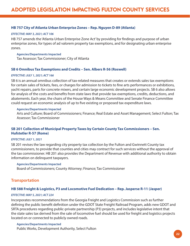### <span id="page-21-0"></span>**[HB 757 City of Atlanta Urban Enterprise Zones – Rep. Nguyen D-89 \(Atlanta\)](https://www.legis.ga.gov/legislation/60469)**

#### *EFFECTIVE: MAY 3, 2021; ACT 106*

HB 757 amends the 'Atlanta Urban Enterprise Zone Act' by providing for findings and purpose of urban enterprise zones, for types of ad valorem property tax exemptions, and for designating urban enterprise zones.

#### **Agencies/Departments Impacted**

Tax Assessor; Tax Commissioner; City of Atlanta

## **[SB 6 Omnibus Tax Exemptions and Credits – Sen. Albers R-56 \(Roswell\)](https://www.legis.ga.gov/legislation/58884)**

#### *EFFECTIVE: JULY 1, 2021; ACT 166*

SB 6 is an annual omnibus collection of tax-related measures that creates or extends sales tax exemptions for certain sales of tickets, fees, or charges for admission to tickets to fine arts performances or exhibitions, yacht repairs, parts for concrete mixers, and certain large economic development projects. SB 6 also allows for analysis of the costs and benefits from state laws that provide tax exemptions, credits, deductions, and abatements. Each year, the chairs of the House Ways & Means Committee and Senate Finance Committee could request an economic analysis of up to five existing or proposed tax expenditure laws.

#### **Agencies/Departments Impacted**

Arts and Culture; Board of Commissioners; Finance; Real Estate and Asset Management; Select Fulton; Tax Assessor; Tax Commissioner

## **[SB 201 Collection of Municipal Property Taxes by Certain County Tax Commissioners – Sen.](https://www.legis.ga.gov/legislation/59763)  Hufstetler R-57 (Rome)**

#### *EFFECTIVE: JULY 1, 2021*

SB 201 revises the law regarding city property tax collection by the Fulton and Gwinnett County tax commissioners, to provide that counties and cities may contract for such services without the approval of the tax commissioner. HB 201 also provides the Department of Revenue with additional authority to obtain information on delinquent taxpayers.

#### **Agencies/Departments Impacted**

Board of Commissioners; County Attorney; Finance; Tax Commissioner

## **Transportation**

#### **[HB 588 Freight & Logistics, P3 and Locomotive Fuel Dedication – Rep. Jasperse R-11 \(Jasper\)](https://www.legis.ga.gov/legislation/59949)**

#### *EFFECTIVE: MAY 5, 2021; ACT 224*

Incorporates recommendations from the Georgia Freight and Logistics Commission such as further defining the public benefit definition under the GDOT State Freight Railroad Program, adds new GDOT and SRTA procedures regarding public-private partnership (P3) projects, and includes legislative intent that the state sales tax derived from the sale of locomotive fuel should be used for freight and logistics projects located on or connected to publicly owned roads.

**Agencies/Departments Impacted** Public Works, Development Authority, Select Fulton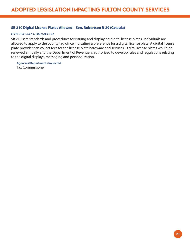## **[SB 210 Digital License Plates Allowed – Sen. Robertson R-29 \(Cataula\)](https://www.legis.ga.gov/legislation/59858)**

#### *EFFECTIVE: JULY 1, 2021; ACT 134*

SB 210 sets standards and procedures for issuing and displaying digital license plates. Individuals are allowed to apply to the county tag office indicating a preference for a digital license plate. A digital license plate provider can collect fees for the license plate hardware and services. Digital license plates would be renewed annually and the Department of Revenue is authorized to develop rules and regulations relating to the digital displays, messaging and personalization.

**Agencies/Departments Impacted** Tax Commissioner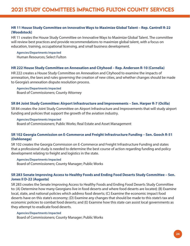## <span id="page-23-0"></span>**[HR 11 House Study Committee on Innovative Ways to Maximize Global Talent – Rep. Cantrell R-22](https://www.legis.ga.gov/legislation/58868)  (Woodstock)**

HR 11 creates the House Study Committee on Innovative Ways to Maximize Global Talent. The committee will review best practices and provide recommendations to maximize global talent, with a focus on education, training, occupational licensing, and small business development.

**Agencies/Departments Impacted** Human Resources; Select Fulton

#### **[HR 222 House Study Committee on Annexation and Cityhood – Rep. Anderson R-10 \(Cornelia\)](https://www.legis.ga.gov/legislation/60027)**

HR 222 creates a House Study Committee on Annexation and Cityhood to examine the impacts of annexation, the laws and rules governing the creation of new cities, and whether changes should be made to Georgia's annexation dispute resolution process.

#### **Agencies/Departments Impacted**

Board of Commissioners; County Attorney

#### **[SR 84 Joint Study Committee: Airport Infrastructure and Improvements – Sen. Harper R-7 \(Ocilla\)](https://www.legis.ga.gov/legislation/59470)**

SR 84 creates the Joint Study Committee on Airport Infrastructure and Improvements that will study airport funding and policies that support the growth of the aviation industry.

#### **Agencies/Departments Impacted**

Board of Commissioners; Public Works; Real Estate and Asset Management

## **[SR 102 Georgia Commission on E-Commerce and Freight Infrastructure Funding – Sen. Gooch R-51](https://www.legis.ga.gov/legislation/59628)  (Dahlonega)**

SR 102 creates the Georgia Commission on E-Commerce and Freight Infrastructure Funding and states that a professional study is needed to determine the best course of action regarding funding and policy development relating to freight and logistics in the state.

#### **Agencies/Departments Impacted**

Board of Commissioners; County Manager; Public Works

## **[SR 283 Senate Improving Access to Healthy Foods and Ending Food Deserts Study Committee – Sen.](https://www.legis.ga.gov/legislation/60583)  Jones II D-22 (Augusta)**

SR 283 creates the Senate Improving Access to Healthy Foods and Ending Food Deserts Study Committee to: (A) Determine how many Georgians live in food deserts and where food deserts are located; (B) Examine local, state, and national policies which address food deserts; (C) Examine the economic impact food deserts have on this state's economy; (D) Examine any changes that should be made to this state's tax and economic policies to combat food deserts; and (E) Examine how this state can assist local governments as they attempt to eradicate food deserts.

#### **Agencies/Departments Impacted**

Board of Commissioners; County Manager; Public Works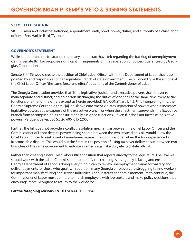#### <span id="page-24-0"></span>**VETOED LEGISLATION**

[SB 156 Labor and Industrial Relations;](https://www.legis.ga.gov/legislation/59620) appointment, oath, bond, power, duties, and authority of a chief labor officer – Sen. Harbin R-16 (Tyrone)

#### **GOVERNOR'S STATEMENT**

While I understand the frustration that many in our state have felt regarding the backlog of unemployment claims, Senate Bill 156 proposes significant infringements on the separation of powers guaranteed by Georgia's Constitution.

Senate Bill 156 would create the position of Chief Labor Officer within the Department of Labor that is appointed by and responsible to the Legislative Branch of state government. The bill would give the actions of the Chief Labor Officer "the same force and effect" as actions of the Commissioner of Labor.

The Georgia Constitution provides that "[t]he legislative, judicial, and executive powers shall forever remain separate and distinct; and no person discharging the duties of one shall at the same time exercise the functions of either of the others except as herein provided." GA. CONST. art. I, § 2, ¶ III. Interpreting this, the Georgia Supreme Court held that, "[a] legislative enactment violates separation of powers when it increases legislative powers at the expense of the executive branch, or when the enactment...prevent[s] the Executive Branch from accomplishing its constitutionally assigned functions ... even if it does not increase legislative powers." Perdue v. Baker, 586 S.E.2d 606, 615 (2003).

Further, the bill does not provide a conflict resolution mechanism between the Chief Labor Officer and the Commissioner of Labor despite powers being shared between the two. Instead, this bill would allow the Chief Labor Officer to seek a writ of mandamus against the Commissioner when the two experienced an irreconcilable dispute. This would put the State in the position of using taxpayer dollars to sue between two branches of the same government to enforce a remedy against a duly elected state official.

Rather than creating a new Chief Labor Officer position that reports directly to the legislature, I believe we should work with the Labor Commissioner to identify the challenges his agency is facing and ensure the Georgia Department of Labor is doing everything it can to review unemployment claims for validity and deliver payments for those who qualify. In addition, many Georgia employers are struggling to find workers for important manufacturing and service industries. For our state's economic momentum to continue, the Commissioner of Labor must do more to match employers with job seekers and make policy decisions that encourage more Georgians to return to the workforce.

#### **For the foregoing reasons, I VETO SENATE BILL 156.**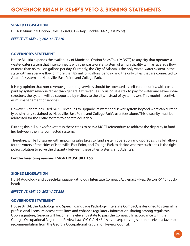### **SIGNED LEGISLATION**

[HB 160 Municipal Option Sales Tax \(MOST\) – Rep. Boddie D-62 \(East Point\)](https://www.legis.ga.gov/legislation/59073)

*EFFECTIVE: MAY 10, 2021; ACT 270* 

#### **GOVERNOR'S STATEMENT**

House Bill 160 expands the availability of Municipal Option Sales Tax ("MOST") to any city that operates a waste-water system that interconnects with the waste-water system of a municipality with an average flow of more than 85 million gallons per day. Currently, the City of Atlanta is the only waste-water system in the state with an average flow of more than 85 million gallons per day, and the only cities that are connected to Atlanta's system are Hapeville, East Point, and College Park.

It is my opinion that non-revenue generating services should be operated as self-funded units, with costs paid by system revenue rather than general tax revenues. By using sales tax to pay for water and sewer infrastructure, the system will be supported by visitors to the city, instead of system users. This model incentivizes mismanagement of services.

However, Atlanta has used MOST revenues to upgrade its water and sewer system beyond what can currently be similarly sustained by Hapeville, East Point, and College Park's user fees alone. This disparity must be addressed for the entire system to operate equitably.

Further, this bill allows for voters in these cities to pass a MOST referendum to address the disparity in funding between the interconnected systems.

Therefore, while I disagree with imposing sales taxes to fund system operation and upgrades, this bill allows for the voters of the cities of Hapeville, East Point, and College Park to decide whether such a tax is the right policy solution to solve the disparity between these cities systems and Atlanta's,

#### **For the foregoing reasons, I SIGN HOUSE BILL 160.**

#### **SIGNED LEGISLATION**

[HB 34 Audiology and Speech-Language Pathology Interstate Compact Act; enact – Rep. Belton R-112 \(Buck](https://www.legis.ga.gov/legislation/58823)head)

#### *EFFECTIVE: MAY 10, 2021; ACT 285*

## **GOVERNOR'S STATEMENT**

House Bill 34, the Audiology and Speech-Language Pathology Interstate Compact, is designed to streamline professional licensure across state lines and enhance regulatory information-sharing among regulators. Upon signature, Georgia will become the eleventh state to pass the Compact. In accordance with the Georgia Occupational Regulation Review Law, O.C.G.A. § 43-1A-1, et seq., this legislation received a favorable recommendation from the Georgia Occupational Regulation Review Council.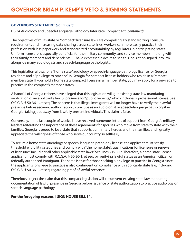### **GOVERNOR'S STATEMENT** *(continued)*

HB 34 Audiology and Speech-Language Pathology Interstate Compact Act (*continued)*

The objectives of multi-state or "compact" licensure laws are compelling. By standardizing licensure requirements and increasing data-sharing across state lines, workers can more easily practice their profession with less paperwork and standardized accountability by regulators in participating states. Uniform licensure is especially beneficial for the military community, and service members — along with their family members and dependents — have expressed a desire to see this legislation signed into law alongside many audiologists and speech-language pathologists.

This legislation allows for a "home state" audiology or speech-language pathology license for Georgia residents and a "privilege to practice" in Georgia for compact license-holders who reside in a "remote" member state. If you hold a home state compact license in a member state, you may apply for a privilege to practice in the compact's member states.

A handful of Georgia citizens have alleged that this legislation will gut existing state law mandating verification of an applicant's lawful presence for "public benefits," which includes a professional license. See O.C.G.A. § 50-36-1, et seq. The concern is that illegal immigrants will no longer have to verify their lawful presence before securing authorization to practice as an audiologist or speech-language pathologist in Georgia, taking jobs away from lawfully present individuals. This claim is false.

Conversely, in the last couple of weeks, I have received numerous letters of support from Georgia's military leaders reiterating the importance of these agreements for spouses who move from state to state with their families. Georgia is proud to be a state that supports our military heroes and their families, and I greatly appreciate the willingness of those who serve our country so selflessly.

To secure a home state audiology or speech-language pathology license, the applicant must satisfy threshold eligibility categories and comply with "the home state's qualifications for licensure or renewal of licensure," including "all other applicable state laws." See lines 215-217. Therefore, a home state license applicant must comply with 0.C.G.A. § 50-36-1, et seq. by verifying lawful status as an American citizen or federally authorized immigrant. The same is true for those seeking a privilege to practice in Georgia since the applicant's privilege to practice is also contingent on compliance with applicable state law, including O.C.G.A. § 50-36-1, et seq. regarding proof of lawful presence.

Therefore, I reject the claim that this compact legislation will circumvent existing state law mandating documentation of lawful presence in Georgia before issuance of state authorization to practice audiology or speech-language pathology.

#### **For the foregoing reasons, I SIGN HOUSE BILL 34.**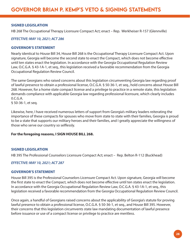### **SIGNED LEGISLATION**

[HB 268 The Occupational Therapy Licensure Compact Act; enact – Rep. Werkheiser R-157 \(Glennville\)](https://www.legis.ga.gov/legislation/59274)

*EFFECTIVE: MAY 10, 2021; ACT 286*

### **GOVERNOR'S STATEMENT**

Nearly identical to House Bill 34, House Bill 268 is the Occupational Therapy Licensure Compact Act. Upon signature, Georgia will become the second state to enact the Compact, which does not become effective until ten states enact the legislation. In accordance with the Georgia Occupational Regulation Review Law, O.C.G.A. § 43-1A-1, et seq., this legislation received a favorable recommendation from the Georgia Occupational Regulation Review Council.

The same Georgians who raised concerns about this legislation circumventing Georgia law regarding proof of lawful presence to obtain a professional license, O.C.G.A. § 50-36-1, et seq., hold concerns about House Bill 268. However, for a home state compact license and a privilege to practice in a remote state, this legislation demands compliance with applicable Georgia law regarding professional licensure, which clearly includes 0.C.G.A.

§ 50-36-1, et seq.

Likewise, here, I have received numerous letters of support from Georgia's military leaders reiterating the importance of these compacts for spouses who move from state to state with their families, Georgia is proud to be a state that supports our military heroes and their families, and I greatly appreciate the willingness of those who serve our country so selflessly.

#### **For the foregoing reasons, I SIGN HOUSE BILL 268.**

## **SIGNED LEGISLATION**

[HB 395 The Professional Counselors Licensure Compact Act; enact – Rep. Belton R-112 \(Buckhead\)](https://www.legis.ga.gov/legislation/59550)

## *EFFECTIVE: MAY 10, 2021; ACT 287*

## **GOVERNOR'S STATEMENT**

House Bill 395 is the Professional Counselors Licensure Compact Act. Upon signature, Georgia will become the first state to enact the Compact, which does not become effective until ten states enact the legislation. In accordance with the Georgia Occupational Regulation Review Law, O.C.G.A. § 43-1A-1, et seq., this legislation received a favorable recommendation from the Georgia Occupational Regulation Review Council.

Once again, a handful of Georgians raised concerns about the applicability of Georgia's statute for proving lawful presence to obtain a professional license, O.C.G.A. § 50-36-1, et seq., and House Bill 395. However, their concerns that this legislation circumvents state law mandating documentation of lawful presence before issuance or use of a compact license or privilege to practice are meritless.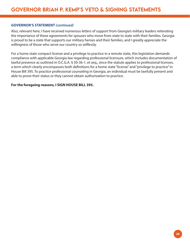#### **GOVERNOR'S STATEMENT** *(continued)*

Also, relevant here, I have received numerous letters of support from Georgia's military leaders reiterating the importance of these agreements for spouses who move from state to state with their families. Georgia is proud to be a state that supports our military heroes and their families, and I greatly appreciate the willingness of those who serve our country so selflessly.

For a home state compact license and a privilege to practice in a remote state, this legislation demands compliance with applicable Georgia law regarding professional licensure, which includes documentation of lawful presence as outlined in O.C.G.A. § 50-36-1, et seq., since the statute applies to professional licenses, a term which clearly encompasses both definitions for a home state "license" and "privilege to practice" in House Bill 395. To practice professional counseling in Georgia, an individual must be lawfully present and able to prove their status or they cannot obtain authorization to practice.

#### **For the foregoing reasons, I SIGN HOUSE BILL 395.**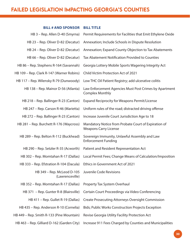## <span id="page-29-0"></span>FAILED LEGISLATION IMPACTING GEORGIA'S COUNTIES

## **BILL # AND SPONSOR BILL TITLE**

| HB 3 - Rep. Allen D-40 (Smyrna)                                       | Permit Requirements for Facilities that Emit Ethylene Oxide                          |
|-----------------------------------------------------------------------|--------------------------------------------------------------------------------------|
| HB 23 - Rep. Oliver D-82 (Decatur)                                    | Annexation; Include Schools in Dispute Resolution                                    |
| HB 24 - Rep. Oliver D-82 (Decatur)                                    | Annexation; Expand County Objection to Tax Abatements                                |
| HB 66 - Rep. Oliver D-82 (Decatur)                                    | Tax Abatement Notification Provided to Counties                                      |
| HB 86 - Rep. Stephens R-164 (Savannah)                                | Georgia Lottery Mobile Sports Wagering Integrity Act                                 |
| HB 109 - Rep. Clark R-147 (Warner Robins)                             | <b>Child Victim Protection Act of 2021</b>                                           |
| HB 117 - Rep. Wilensky R-79 (Dunwoody)                                | Low THC Oil Patient Registry; add ulcerative colitis                                 |
| HB 138 - Rep. Mainor D-56 (Atlanta)                                   | Law Enforcement Agencies Must Post Crimes by Apartment<br><b>Complex Monthly</b>     |
| HB 218 – Rep. Ballinger R-23 (Canton)                                 | <b>Expand Reciprocity for Weapons Permit/License</b>                                 |
| HB 247 - Rep. Carson R-46 (Marietta)                                  | Uniform rules of the road; distracted driving offense                                |
| HB 272 - Rep. Ballinger R-23 (Canton)                                 | Increase Juvenile Court Jurisdiction Age to 18                                       |
| HB 281 - Rep. Burchett R-176 (Waycross)                               | Mandatory Notice from Probate Court of Expiration of<br><b>Weapons Carry License</b> |
| HB 289 - Rep. Belton R-112 (Buckhead)                                 | Sovereign Immunity, Unlawful Assembly and Law<br><b>Enforcement Funding</b>          |
| HB 290 - Rep. Setzler R-35 (Acworth)                                  | Patient and Resident Representation Act                                              |
| HB 302 - Rep. Momtahan R-17 (Dallas)                                  | Local Permit Fees; Change Means of Calculation/Imposition                            |
| HB 333 - Rep. Efstration R-104 (Dacula)                               | Ethics in Government Act of 2021                                                     |
| HB 349 - Rep. McLeod D-105 Juvenile Code Revisions<br>(Lawrenceville) |                                                                                      |
| HB 352 - Rep. Momtahan R-17 (Dallas)                                  | Property Tax System Overhaul                                                         |
| HB 371 - Rep. Gunter R-8 (Blairsville)                                | Certain Court Proceedings via Video Conferencing                                     |
| HB 411 - Rep. Gullet R-19 (Dallas)                                    | <b>Create Prosecuting Attorneys Oversight Commission</b>                             |
| HB 435 - Rep. Anderson R-10 (Cornelia)                                | <b>Bids; Public Works Construction Projects Exception</b>                            |
| HB 449 - Rep. Smith R-133 (Pine Mountain)                             | Revise Georgia Utility Facility Protection Act                                       |
| HB 463 - Rep. Gilliard D-162 (Garden City)                            | Increase 911 Fees Charged by Counties and Municipalities                             |
|                                                                       |                                                                                      |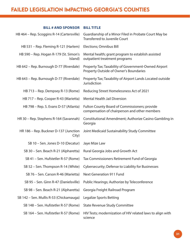## FAILED LEGISLATION IMPACTING GEORGIA'S COUNTIES

## **BILL # AND SPONSOR BILL TITLE**

| HB 464 – Rep. Scoggins R-14 (Cartersville)        | Guardianship of a Minor Filed in Probate Court May be<br><b>Transferred to Juvenile Court</b>  |
|---------------------------------------------------|------------------------------------------------------------------------------------------------|
| HB 531 – Rep. Fleming R-121 (Harlem)              | Elections; Omnibus Bill                                                                        |
| HB 590 - Rep. Hogan R-179 (St. Simon's<br>Island) | Mental health; grant program to establish assisted<br>outpatient treatment programs            |
| HB 642 - Rep. Burnough D-77 (Riverdale)           | Property Tax; Taxability of Government-Owned Airport<br>Property Outside of Owner's Boundaries |
| HB 643 – Rep. Burnough D-77 (Riverdale)           | Property Tax; Taxability of Airport Lands Located outside<br>Jurisdiction                      |
| HB 713 – Rep. Dempsey R-13 (Rome)                 | Reducing Street Homelessness Act of 2021                                                       |
| HB 717 – Rep. Cooper R-43 (Marietta)              | <b>Mental Health Jail Diversion</b>                                                            |
| HB 798 – Rep. S. Evans D-57 (Atlanta)             | Fulton County Board of Commissioners; provide<br>compensation of chairperson and other members |
| HR 30 - Rep. Stephens R-164 (Savannah)            | Constitutional Amendment; Authorize Casino Gambling in<br>Georgia                              |
| HR 186 - Rep. Buckner D-137 (Junction<br>City)    | Joint Medicaid Sustainability Study Committee                                                  |
| SB 10 - Sen. Jones D-10 (Decatur)                 | Jaye Mize Law                                                                                  |
| SB 30 – Sen. Beach R-21 (Alpharetta)              | Rural Georgia Jobs and Growth Act                                                              |
| SB 41 - Sen. Hufstetler R-57 (Rome)               | Tax Commissioners Retirement Fund of Georgia                                                   |
| SB 52 - Sen. Thompson R-14 (White)                | Cybersecurity; Defense to Liability for Businesses                                             |
| SB 76 - Sen. Carson R-46 (Marietta)               | <b>Next Generation 911 Fund</b>                                                                |
| SB 95 - Sen. Ginn R-47 (Danielsville)             | Public Hearings; Authorize by Teleconference                                                   |
| SB 98 - Sen. Beach R-21 (Alpharetta)              | Georgia Freight Railroad Program                                                               |
| SB 142 – Sen. Mullis R-53 (Chickamauga)           | Legalize Sports Betting                                                                        |
| SB 148 - Sen. Hufstetler R-57 (Rome)              | <b>State Revenue Study Committee</b>                                                           |
| SB 164 - Sen. Hufstetler R-57 (Rome)              | HIV Tests; modernization of HIV related laws to align with<br>science                          |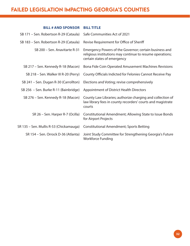## FAILED LEGISLATION IMPACTING GEORGIA'S COUNTIES

## **BILL # AND SPONSOR BILL TITLE**

| SB 171 – Sen. Robertson R-29 (Cataula)  | Safe Communities Act of 2021                                                                                                                       |
|-----------------------------------------|----------------------------------------------------------------------------------------------------------------------------------------------------|
| SB 183 - Sen. Robertson R-29 (Cataula)  | Revise Requirement for Office of Sheriff                                                                                                           |
| SB 200 - Sen. Anavitarte R-31           | Emergency Powers of the Governor; certain business and<br>religious institutions may continue to resume operations;<br>certain states of emergency |
| SB 217 - Sen. Kennedy R-18 (Macon)      | Bona Fide Coin Operated Amusement Machines Revisions                                                                                               |
| SB 218 - Sen. Walker III R-20 (Perry)   | County Officials Indicted for Felonies Cannot Receive Pay                                                                                          |
| SB 241 - Sen. Dugan R-30 (Carrollton)   | Elections and Voting; revise comprehensively                                                                                                       |
| SB 256 - Sen. Burke R-11 (Bainbridge)   | Appointment of District Health Directors                                                                                                           |
| SB 276 - Sen. Kennedy R-18 (Macon)      | County Law Libraries; authorize charging and collection of<br>law library fees in county recorders' courts and magistrate<br>courts                |
| SR 26 - Sen. Harper R-7 (Ocilla)        | <b>Constitutional Amendment; Allowing State to Issue Bonds</b><br>for Airport Projects                                                             |
| SR 135 - Sen. Mullis R-53 (Chickamauga) | <b>Constitutional Amendment; Sports Betting</b>                                                                                                    |
| SR 154 – Sen. Orrock D-36 (Atlanta)     | Joint Study Committee for Strengthening Georgia's Future<br><b>Workforce Funding</b>                                                               |